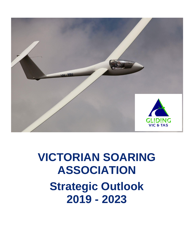

# **VICTORIAN SOARING ASSOCIATION Strategic Outlook 2019 - 2023**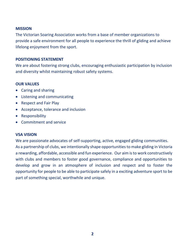#### **MISSION**

The Victorian Soaring Association works from a base of member organizations to provide a safe environment for all people to experience the thrill of gliding and achieve lifelong enjoyment from the sport.

### **POSITIONING STATEMENT**

We are about fostering strong clubs, encouraging enthusiastic participation by inclusion and diversity whilst maintaining robust safety systems.

# **OUR VALUES**

- Caring and sharing
- Listening and communicating
- Respect and Fair Play
- Acceptance, tolerance and inclusion
- Responsibility
- Commitment and service

### **VSA VISION**

We are passionate advocates of self-supporting, active, engaged gliding communities. As a partnership of clubs, we intentionally shape opportunitiesto make gliding in Victoria a rewarding, affordable, accessible and fun experience. Our aim is to work constructively with clubs and members to foster good governance, compliance and opportunities to develop and grow in an atmosphere of inclusion and respect and to foster the opportunity for people to be able to participate safely in a exciting adventure sport to be part of something special, worthwhile and unique.